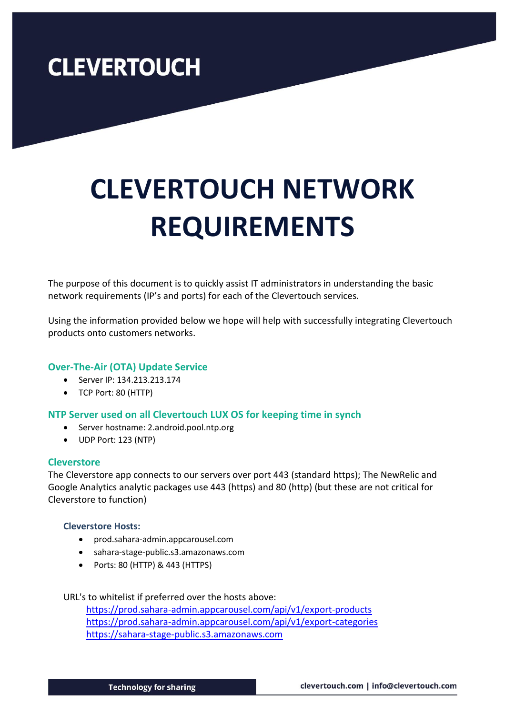# **CLEVERTOUCH NETWORK REQUIREMENTS**

The purpose of this document is to quickly assist IT administrators in understanding the basic network requirements (IP's and ports) for each of the Clevertouch services.

Using the information provided below we hope will help with successfully integrating Clevertouch products onto customers networks.

### **Over-The-Air (OTA) Update Service**

- Server IP: 134.213.213.174
- TCP Port: 80 (HTTP)

### **NTP Server used on all Clevertouch LUX OS for keeping time in synch**

- Server hostname: 2.android.pool.ntp.org
- UDP Port: 123 (NTP)

### **Cleverstore**

The Cleverstore app connects to our servers over port 443 (standard https); The NewRelic and Google Analytics analytic packages use 443 (https) and 80 (http) (but these are not critical for Cleverstore to function)

### **Cleverstore Hosts:**

- prod.sahara-admin.appcarousel.com
- sahara-stage-public.s3.amazonaws.com
- Ports: 80 (HTTP) & 443 (HTTPS)

URL's to whitelist if preferred over the hosts above:

<https://prod.sahara-admin.appcarousel.com/api/v1/export-products> <https://prod.sahara-admin.appcarousel.com/api/v1/export-categories> [https://sahara-stage-public.s3.amazonaws.com](https://sahara-stage-public.s3.amazonaws.com/)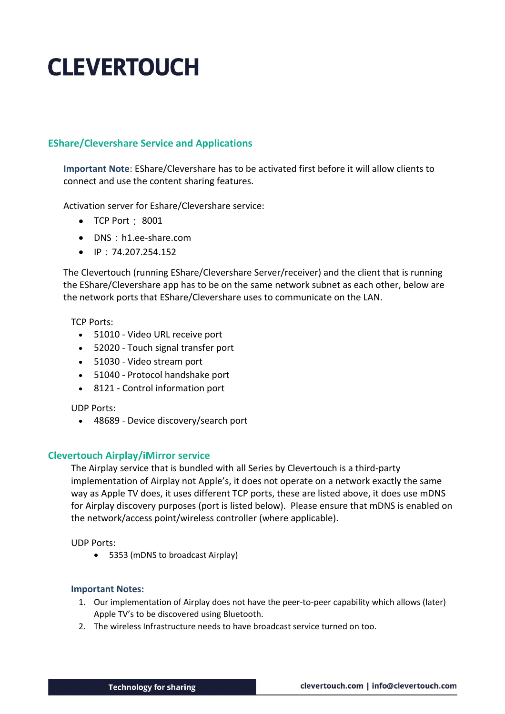### **EShare/Clevershare Service and Applications**

**Important Note**: EShare/Clevershare has to be activated first before it will allow clients to connect and use the content sharing features.

Activation server for Eshare/Clevershare service:

- TCP Port: 8001
- DNS: h1.ee-share.com
- IP:74.207.254.152

The Clevertouch (running EShare/Clevershare Server/receiver) and the client that is running the EShare/Clevershare app has to be on the same network subnet as each other, below are the network ports that EShare/Clevershare uses to communicate on the LAN.

TCP Ports:

- 51010 Video URL receive port
- 52020 Touch signal transfer port
- 51030 Video stream port
- 51040 Protocol handshake port
- 8121 Control information port

UDP Ports:

• 48689 - Device discovery/search port

### **Clevertouch Airplay/iMirror service**

The Airplay service that is bundled with all Series by Clevertouch is a third-party implementation of Airplay not Apple's, it does not operate on a network exactly the same way as Apple TV does, it uses different TCP ports, these are listed above, it does use mDNS for Airplay discovery purposes (port is listed below). Please ensure that mDNS is enabled on the network/access point/wireless controller (where applicable).

UDP Ports:

• 5353 (mDNS to broadcast Airplay)

### **Important Notes:**

- 1. Our implementation of Airplay does not have the peer-to-peer capability which allows (later) Apple TV's to be discovered using Bluetooth.
- 2. The wireless Infrastructure needs to have broadcast service turned on too.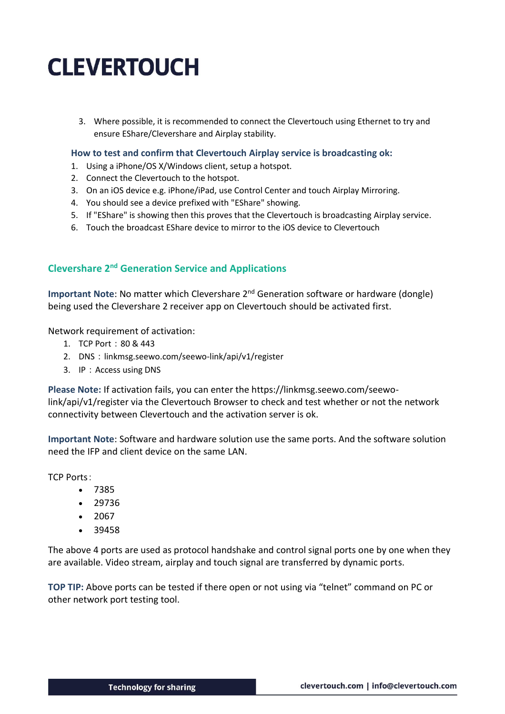3. Where possible, it is recommended to connect the Clevertouch using Ethernet to try and ensure EShare/Clevershare and Airplay stability.

#### **How to test and confirm that Clevertouch Airplay service is broadcasting ok:**

- 1. Using a iPhone/OS X/Windows client, setup a hotspot.
- 2. Connect the Clevertouch to the hotspot.
- 3. On an iOS device e.g. iPhone/iPad, use Control Center and touch Airplay Mirroring.
- 4. You should see a device prefixed with "EShare" showing.
- 5. If "EShare" is showing then this proves that the Clevertouch is broadcasting Airplay service.
- 6. Touch the broadcast EShare device to mirror to the iOS device to Clevertouch

### **Clevershare 2 nd Generation Service and Applications**

**Important Note: No matter which Clevershare 2<sup>nd</sup> Generation software or hardware (dongle)** being used the Clevershare 2 receiver app on Clevertouch should be activated first.

Network requirement of activation:

- 1. TCP Port:80 & 443
- 2. DNS: linkmsg.seewo.com/seewo-link/api/v1/register
- 3. IP:Access using DNS

**Please Note:** If activation fails, you can enter the https://linkmsg.seewo.com/seewolink/api/v1/register via the Clevertouch Browser to check and test whether or not the network connectivity between Clevertouch and the activation server is ok.

**Important Note**: Software and hardware solution use the same ports. And the software solution need the IFP and client device on the same LAN.

TCP Ports:

- 7385
- 29736
- 2067
- 39458

The above 4 ports are used as protocol handshake and control signal ports one by one when they are available. Video stream, airplay and touch signal are transferred by dynamic ports.

**TOP TIP:** Above ports can be tested if there open or not using via "telnet" command on PC or other network port testing tool.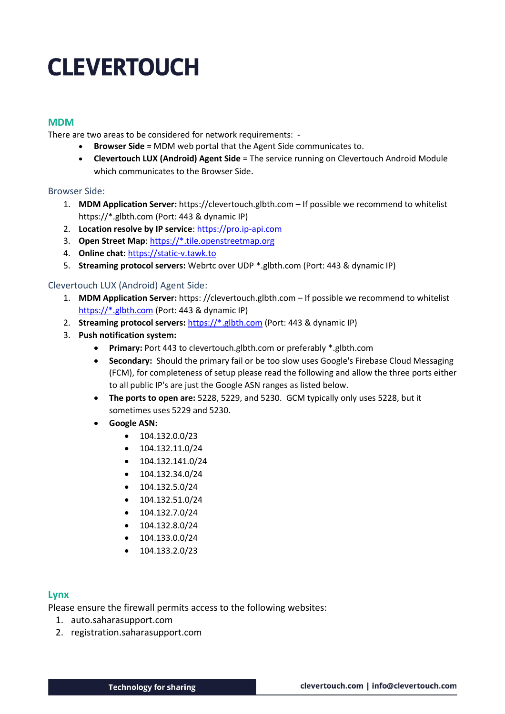### **MDM**

There are two areas to be considered for network requirements: -

- **Browser Side** = MDM web portal that the Agent Side communicates to.
- **Clevertouch LUX (Android) Agent Side** = The service running on Clevertouch Android Module which communicates to the Browser Side.

#### Browser Side:

- 1. **MDM Application Server:** https://clevertouch.glbth.com If possible we recommend to whitelist [https://\\*.glbth.com](https://*.glbth.com/) (Port: 443 & dynamic IP)
- 2. **Location resolve by IP service**: [https://pro.ip-api.com](https://pro.ip-api.com/)
- 3. **Open Street Map**: [https://\\*.tile.openstreetmap.org](https://*.tile.openstreetmap.org/)
- 4. **Online chat:** [https://static-v.tawk.to](https://static-v.tawk.to/)
- 5. **Streaming protocol servers:** Webrtc over UDP \*.glbth.com (Port: 443 & dynamic IP)

### Clevertouch LUX (Android) Agent Side:

- 1. **MDM Application Server:** https: //clevertouch.glbth.com If possible we recommend to whitelist [https://\\*.glbth.com](https://*.glbth.com/) (Port: 443 & dynamic IP)
- 2. **Streaming protocol servers:** [https://\\*.glbth.com](https://*.glbth.com/) (Port: 443 & dynamic IP)
- 3. **Push notification system:**
	- **Primary:** Port 443 to clevertouch.glbth.com or preferably \*.glbth.com
	- **Secondary:** Should the primary fail or be too slow uses Google's Firebase Cloud Messaging (FCM), for completeness of setup please read the following and allow the three ports either to all public IP's are just the Google ASN ranges as listed below.
	- **The ports to open are:** 5228, 5229, and 5230. GCM typically only uses 5228, but it sometimes uses 5229 and 5230.
	- **Google ASN:**
		- $\bullet$  104.132.0.0/23
		- $\bullet$  104.132.11.0/24
		- 104.132.141.0/24
		- 104.132.34.0/24
		- 104.132.5.0/24
		- 104.132.51.0/24
		- 104.132.7.0/24
		- 104.132.8.0/24
		- 104.133.0.0/24
		- 104.133.2.0/23

### **Lynx**

Please ensure the firewall permits access to the following websites:

- 1. auto.saharasupport.com
- 2. registration.saharasupport.com